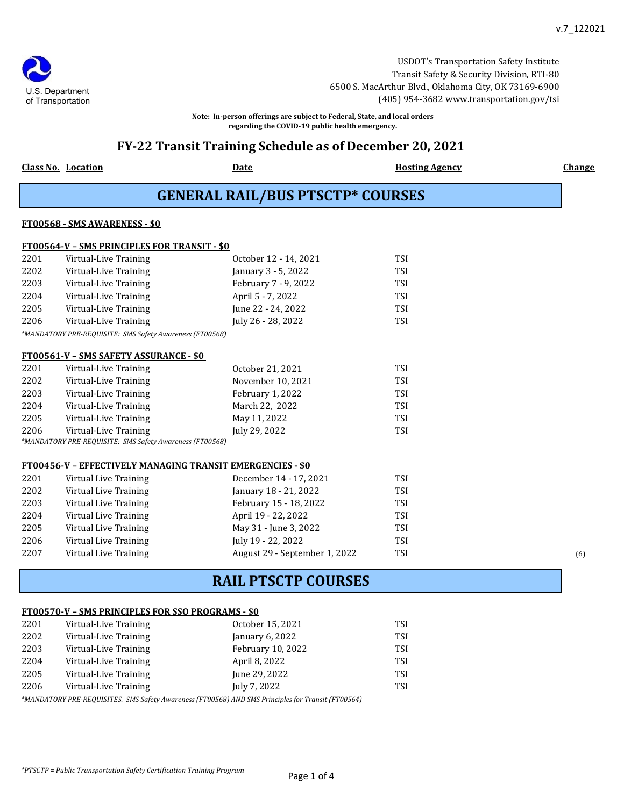USDOT's Transportation Safety Institute Transit Safety & Security Division, RTI-80 6500 S. MacArthur Blvd., Oklahoma City, OK 73169-6900 (405) 954-3682 www.transportation.gov/tsi

**Note: In-person offerings are subject to Federal, State, and local orders regarding the COVID-19 public health emergency.**

## **FY-22 Transit Training Schedule as of December 20, 2021**

**Class No. Location Date Date Date Date Bloom Hosting Agency Change** 

U.S. Department of Transportation

**GENERAL RAIL/BUS PTSCTP\* COURSES**

#### **FT00568 - SMS AWARENESS - \$0**

|            | <b>FT00564-V - SMS PRINCIPLES FOR TRANSIT - \$0</b>        |                          |             |
|------------|------------------------------------------------------------|--------------------------|-------------|
| 2201       | Virtual-Live Training                                      | October 12 - 14, 2021    | TSI         |
| 2202       | Virtual-Live Training                                      | January 3 - 5, 2022      | TSI         |
| 2203       | Virtual-Live Training                                      | February 7 - 9, 2022     | <b>TSI</b>  |
| 2204       | Virtual-Live Training                                      | April 5 - 7, 2022        | <b>TSI</b>  |
| 2205       | Virtual-Live Training                                      | June 22 - 24, 2022       | <b>TSI</b>  |
| 2206       | Virtual-Live Training                                      | July 26 - 28, 2022       | <b>TSI</b>  |
|            | *MANDATORY PRE-REQUISITE: SMS Safety Awareness (FT00568)   |                          |             |
|            |                                                            |                          |             |
|            | <b>FT00561-V - SMS SAFETY ASSURANCE - \$0</b>              |                          |             |
| 2201       | Virtual-Live Training                                      | October 21, 2021         | <b>TSI</b>  |
| 2202       | Virtual-Live Training                                      | November 10, 2021        | TSI         |
| 2203       | Virtual-Live Training                                      | February 1, 2022         | <b>TSI</b>  |
| 2204       | Virtual-Live Training                                      | March 22, 2022           | TSI         |
| 2205       | Virtual-Live Training                                      | May 11, 2022             | TSI         |
| 2206       | Virtual-Live Training                                      | July 29, 2022            | TSI         |
|            | *MANDATORY PRE-REQUISITE: SMS Safety Awareness (FT00568)   |                          |             |
|            |                                                            |                          |             |
|            | FT00456-V - EFFECTIVELY MANAGING TRANSIT EMERGENCIES - \$0 |                          |             |
| <b>nnn</b> | $\mathbf{v}$                                               | $P = 1 - 44 - 47 - 2024$ | <b>TROT</b> |

| 2201 | Virtual Live Training | December 14 - 17, 2021        | TSI |     |
|------|-----------------------|-------------------------------|-----|-----|
| 2202 | Virtual Live Training | January 18 - 21, 2022         | TSI |     |
| 2203 | Virtual Live Training | February 15 - 18, 2022        | TSI |     |
| 2204 | Virtual Live Training | April 19 - 22, 2022           | TSI |     |
| 2205 | Virtual Live Training | May 31 - June 3, 2022         | TSI |     |
| 2206 | Virtual Live Training | July 19 - 22, 2022            | TSI |     |
| 2207 | Virtual Live Training | August 29 - September 1, 2022 | TSI | (6) |

# **RAIL PTSCTP COURSES**

### **FT00570-V – SMS PRINCIPLES FOR SSO PROGRAMS - \$0**

| 2201 | Virtual-Live Training | October 15, 2021  | TSI        |
|------|-----------------------|-------------------|------------|
| 2202 | Virtual-Live Training | January 6, 2022   | TSI        |
| 2203 | Virtual-Live Training | February 10, 2022 | <b>TSI</b> |
| 2204 | Virtual-Live Training | April 8, 2022     | <b>TSI</b> |
| 2205 | Virtual-Live Training | June 29, 2022     | TSI        |
| 2206 | Virtual-Live Training | July 7, 2022      | TSI        |

*\*MANDATORY PRE-REQUISITES. SMS Safety Awareness (FT00568) AND SMS Principles for Transit (FT00564)*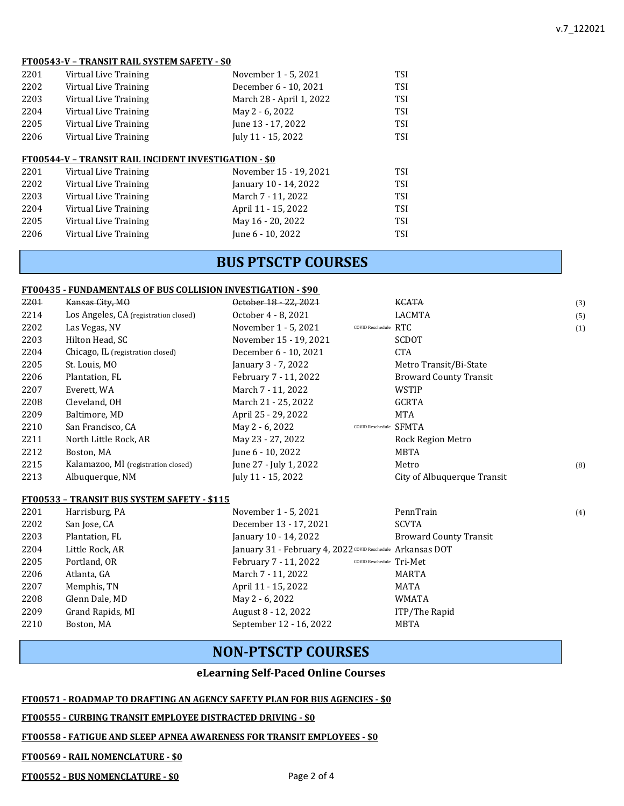#### **FT00543-V – TRANSIT RAIL SYSTEM SAFETY - \$0**

| 2201 | Virtual Live Training                                        | November 1 - 5, 2021     | TSI        |
|------|--------------------------------------------------------------|--------------------------|------------|
| 2202 | Virtual Live Training                                        | December 6 - 10, 2021    | TSI        |
| 2203 | Virtual Live Training                                        | March 28 - April 1, 2022 | <b>TSI</b> |
| 2204 | Virtual Live Training                                        | May 2 - 6, 2022          | <b>TSI</b> |
| 2205 | Virtual Live Training                                        | June 13 - 17, 2022       | <b>TSI</b> |
| 2206 | Virtual Live Training                                        | July 11 - 15, 2022       | <b>TSI</b> |
|      |                                                              |                          |            |
|      | <b>FT00544-V - TRANSIT RAIL INCIDENT INVESTIGATION - \$0</b> |                          |            |
| 2201 | Virtual Live Training                                        | November 15 - 19, 2021   | <b>TSI</b> |
| 2202 | Virtual Live Training                                        | January 10 - 14, 2022    | <b>TSI</b> |
| 2203 | Virtual Live Training                                        | March 7 - 11, 2022       | TSI        |
| 2204 | Virtual Live Training                                        | April 11 - 15, 2022      | <b>TSI</b> |
| 2205 | Virtual Live Training                                        | May 16 - 20, 2022        | <b>TSI</b> |
| 2206 | Virtual Live Training                                        | June 6 - 10, 2022        | TSI        |
|      |                                                              |                          |            |

# **BUS PTSCTP COURSES**

#### **FT00435 - FUNDAMENTALS OF BUS COLLISION INVESTIGATION - \$90**

| 2201 | Kansas City, MO                       | October 18 - 22, 2021  |                        | KCATA                         | (3) |
|------|---------------------------------------|------------------------|------------------------|-------------------------------|-----|
| 2214 | Los Angeles, CA (registration closed) | October 4 - 8, 2021    |                        | <b>LACMTA</b>                 | (5) |
| 2202 | Las Vegas, NV                         | November 1 - 5, 2021   | COVID Reschedule $RTC$ |                               | (1) |
| 2203 | Hilton Head, SC                       | November 15 - 19, 2021 |                        | <b>SCDOT</b>                  |     |
| 2204 | Chicago, IL (registration closed)     | December 6 - 10, 2021  |                        | <b>CTA</b>                    |     |
| 2205 | St. Louis, MO                         | January 3 - 7, 2022    |                        | Metro Transit/Bi-State        |     |
| 2206 | Plantation, FL                        | February 7 - 11, 2022  |                        | <b>Broward County Transit</b> |     |
| 2207 | Everett, WA                           | March 7 - 11, 2022     |                        | WSTIP                         |     |
| 2208 | Cleveland, OH                         | March 21 - 25, 2022    |                        | <b>GCRTA</b>                  |     |
| 2209 | Baltimore, MD                         | April 25 - 29, 2022    |                        | MTA                           |     |
| 2210 | San Francisco, CA                     | May 2 - 6, 2022        | COVID Reschedule SFMTA |                               |     |
| 2211 | North Little Rock, AR                 | May 23 - 27, 2022      |                        | Rock Region Metro             |     |
| 2212 | Boston, MA                            | June 6 - 10, 2022      |                        | MBTA                          |     |
| 2215 | Kalamazoo, MI (registration closed)   | June 27 - July 1, 2022 |                        | Metro                         | (8) |
| 2213 | Albuguergue, NM                       | July 11 - 15, 2022     |                        | City of Albuquerque Transit   |     |
|      |                                       |                        |                        |                               |     |

#### **FT00533 – TRANSIT BUS SYSTEM SAFETY - \$115**

| 2201 | Harrisburg, PA   | November 1 - 5, 2021                                        | PennTrain                     | (4) |
|------|------------------|-------------------------------------------------------------|-------------------------------|-----|
| 2202 | San Jose, CA     | December 13 - 17, 2021                                      | SCVTA                         |     |
| 2203 | Plantation, FL   | January 10 - 14, 2022                                       | <b>Broward County Transit</b> |     |
| 2204 | Little Rock, AR  | January 31 - February 4, 2022 COVID Reschedule Arkansas DOT |                               |     |
| 2205 | Portland, OR     | February 7 - 11, 2022<br>COVID Reschedule Tri-Met           |                               |     |
| 2206 | Atlanta, GA      | March 7 - 11, 2022                                          | MARTA                         |     |
| 2207 | Memphis, TN      | April 11 - 15, 2022                                         | MATA                          |     |
| 2208 | Glenn Dale, MD   | May 2 - 6, 2022                                             | WMATA                         |     |
| 2209 | Grand Rapids, MI | August 8 - 12, 2022                                         | ITP/The Rapid                 |     |
| 2210 | Boston, MA       | September 12 - 16, 2022                                     | MBTA                          |     |
|      |                  |                                                             |                               |     |

# **NON-PTSCTP COURSES**

### **eLearning Self-Paced Online Courses**

### **FT00571 - ROADMAP TO DRAFTING AN AGENCY SAFETY PLAN FOR BUS AGENCIES - \$0**

#### **FT00555 - CURBING TRANSIT EMPLOYEE DISTRACTED DRIVING - \$0**

#### **FT00558 - FATIGUE AND SLEEP APNEA AWARENESS FOR TRANSIT EMPLOYEES - \$0**

#### **FT00569 - RAIL NOMENCLATURE - \$0**

**FT00552 - BUS NOMENCLATURE - \$0**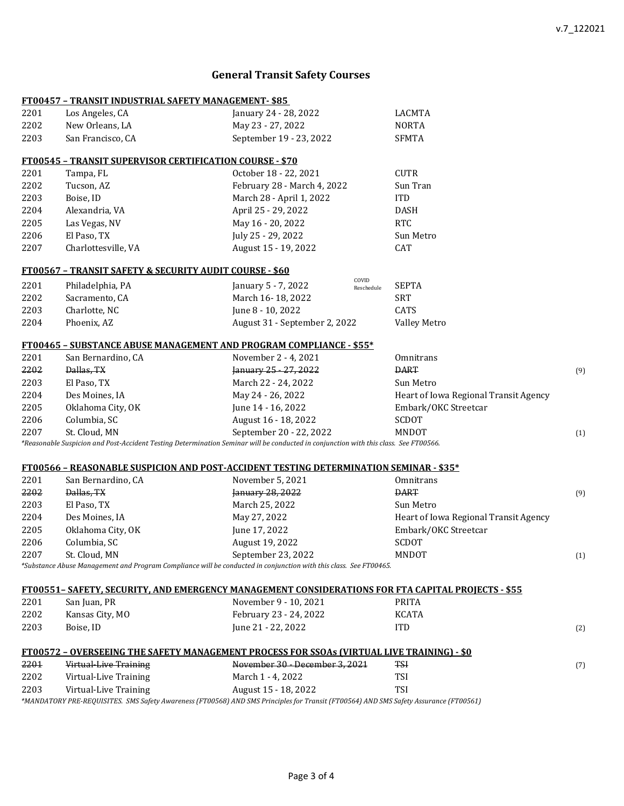# **General Transit Safety Courses**

|      | <u>FT00457 - TRANSIT INDUSTRIAL SAFETY MANAGEMENT-\$85</u>          |                                                                                                                                                               |                     |                                       |     |
|------|---------------------------------------------------------------------|---------------------------------------------------------------------------------------------------------------------------------------------------------------|---------------------|---------------------------------------|-----|
| 2201 | Los Angeles, CA                                                     | January 24 - 28, 2022                                                                                                                                         |                     | LACMTA                                |     |
| 2202 | New Orleans, LA                                                     | May 23 - 27, 2022                                                                                                                                             |                     | <b>NORTA</b>                          |     |
| 2203 | San Francisco, CA                                                   | September 19 - 23, 2022                                                                                                                                       |                     | <b>SFMTA</b>                          |     |
|      | <b>FT00545 - TRANSIT SUPERVISOR CERTIFICATION COURSE - \$70</b>     |                                                                                                                                                               |                     |                                       |     |
| 2201 | Tampa, FL                                                           | October 18 - 22, 2021                                                                                                                                         |                     | <b>CUTR</b>                           |     |
| 2202 | Tucson, AZ                                                          | February 28 - March 4, 2022                                                                                                                                   |                     | Sun Tran                              |     |
| 2203 | Boise, ID                                                           | March 28 - April 1, 2022                                                                                                                                      |                     | <b>ITD</b>                            |     |
| 2204 | Alexandria, VA                                                      | April 25 - 29, 2022                                                                                                                                           |                     | <b>DASH</b>                           |     |
| 2205 | Las Vegas, NV                                                       | May 16 - 20, 2022                                                                                                                                             |                     | <b>RTC</b>                            |     |
| 2206 | El Paso, TX                                                         | July 25 - 29, 2022                                                                                                                                            |                     | Sun Metro                             |     |
| 2207 | Charlottesville, VA                                                 | August 15 - 19, 2022                                                                                                                                          |                     | CAT                                   |     |
|      | <u> FT00567 - TRANSIT SAFETY &amp; SECURITY AUDIT COURSE - \$60</u> |                                                                                                                                                               |                     |                                       |     |
| 2201 | Philadelphia, PA                                                    | January 5 - 7, 2022                                                                                                                                           | COVID<br>Reschedule | <b>SEPTA</b>                          |     |
| 2202 | Sacramento, CA                                                      | March 16-18, 2022                                                                                                                                             |                     | <b>SRT</b>                            |     |
| 2203 | Charlotte, NC                                                       | June 8 - 10, 2022                                                                                                                                             |                     | CATS                                  |     |
| 2204 | Phoenix, AZ                                                         | August 31 - September 2, 2022                                                                                                                                 |                     | <b>Valley Metro</b>                   |     |
|      |                                                                     | FT00465 - SUBSTANCE ABUSE MANAGEMENT AND PROGRAM COMPLIANCE - \$55*                                                                                           |                     |                                       |     |
| 2201 | San Bernardino, CA                                                  | November 2 - 4, 2021                                                                                                                                          |                     | Omnitrans                             |     |
| 2202 | Dallas, TX                                                          | January 25 - 27, 2022                                                                                                                                         |                     | <b>DART</b>                           | (9) |
| 2203 | El Paso, TX                                                         | March 22 - 24, 2022                                                                                                                                           |                     | Sun Metro                             |     |
| 2204 | Des Moines, IA                                                      | May 24 - 26, 2022                                                                                                                                             |                     | Heart of Iowa Regional Transit Agency |     |
| 2205 | Oklahoma City, OK                                                   | June 14 - 16, 2022                                                                                                                                            |                     | Embark/OKC Streetcar                  |     |
| 2206 | Columbia, SC                                                        | August 16 - 18, 2022                                                                                                                                          |                     | SCDOT                                 |     |
| 2207 | St. Cloud, MN                                                       | September 20 - 22, 2022                                                                                                                                       |                     | MNDOT                                 | (1) |
|      |                                                                     | *Reasonable Suspicion and Post-Accident Testing Determination Seminar will be conducted in conjunction with this class. See FT00566.                          |                     |                                       |     |
|      |                                                                     | FT00566 - REASONABLE SUSPICION AND POST-ACCIDENT TESTING DETERMINATION SEMINAR - \$35*                                                                        |                     |                                       |     |
| 2201 | San Bernardino, CA                                                  | November 5, 2021                                                                                                                                              |                     | Omnitrans                             |     |
| 2202 | Dallas, TX                                                          | January 28, 2022                                                                                                                                              |                     | <b>DART</b>                           | (9) |
| 2203 | El Paso, TX                                                         | March 25, 2022                                                                                                                                                |                     | Sun Metro                             |     |
| 2204 | Des Moines, IA                                                      | May 27, 2022                                                                                                                                                  |                     | Heart of Iowa Regional Transit Agency |     |
| 2205 | Oklahoma City, OK                                                   | June 17, 2022                                                                                                                                                 |                     | Embark/OKC Streetcar                  |     |
| 2206 | Columbia, SC                                                        | August 19, 2022                                                                                                                                               |                     | SCDOT                                 |     |
| 2207 | St. Cloud, MN                                                       | September 23, 2022<br>*Substance Abuse Management and Program Compliance will be conducted in conjunction with this class. See FT00465.                       |                     | MNDOT                                 | (1) |
|      |                                                                     |                                                                                                                                                               |                     |                                       |     |
|      |                                                                     | <u>FT00551- SAFETY, SECURITY, AND EMERGENCY MANAGEMENT CONSIDERATIONS FOR FTA CAPITAL PROIECTS - \$55</u>                                                     |                     |                                       |     |
| 2201 | San Juan, PR                                                        | November 9 - 10, 2021                                                                                                                                         |                     | <b>PRITA</b>                          |     |
| 2202 | Kansas City, MO                                                     | February 23 - 24, 2022                                                                                                                                        |                     | KCATA                                 |     |
| 2203 | Boise, ID                                                           | June 21 - 22, 2022                                                                                                                                            |                     | <b>ITD</b>                            | (2) |
|      |                                                                     | <u> FT00572 - OVERSEEING THE SAFETY MANAGEMENT PROCESS FOR SSOAs (VIRTUAL LIVE TRAINING) - \$0</u>                                                            |                     |                                       |     |
| 2201 | <b>Virtual Live Training</b>                                        | November 30 - December 3, 2021                                                                                                                                |                     | <b>TSI</b>                            | (7) |
| 2202 | Virtual-Live Training                                               | March 1 - 4, 2022                                                                                                                                             |                     | <b>TSI</b>                            |     |
| 2203 | Virtual-Live Training                                               | August 15 - 18, 2022<br>*MANDATORY PRE-REQUISITES. SMS Safety Awareness (FT00568) AND SMS Principles for Transit (FT00564) AND SMS Safety Assurance (FT00561) |                     | TSI                                   |     |